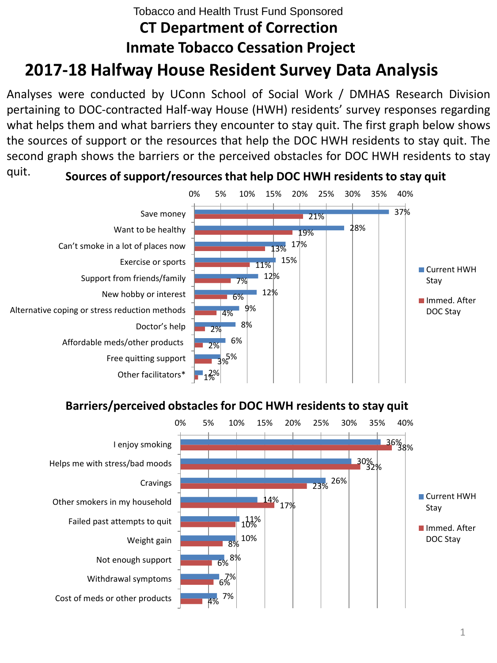## **2017-18 Halfway House Resident Survey Data Analysis** Tobacco and Health Trust Fund Sponsored **CT Department of Correction Inmate Tobacco Cessation Project**

Analyses were conducted by UConn School of Social Work / DMHAS Research Division pertaining to DOC-contracted Half-way House (HWH) residents' survey responses regarding what helps them and what barriers they encounter to stay quit. The first graph below shows the sources of support or the resources that help the DOC HWH residents to stay quit. The second graph shows the barriers or the perceived obstacles for DOC HWH residents to stay quit.



#### **Barriers/perceived obstacles for DOC HWH residents to stay quit**